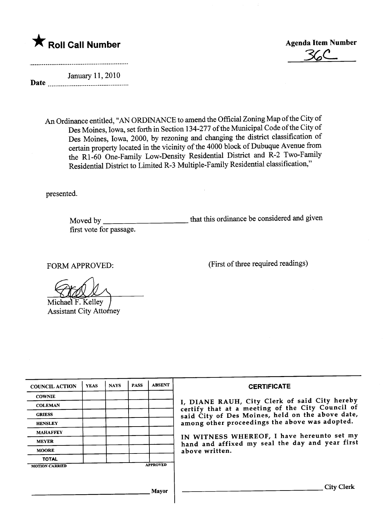

.%C-

...........................................\_-\_...............................

Date January 11, 2010

> An Ordinance entitled, "AN ORDINANCE to amend the Official Zoning Map of the City of Des Moines, Iowa, set forth in Section 134-277 of the Municipal Code of the City of Des Moines, Iowa, 2000, by rezoning and changing the district classification of certain property located in the vicinity of the 4000 block of Dubuque Avenue from the R1-60 One-Family Low-Density Residential District and R-2 Two-Family Residential District to Limited R-3 Multiple-Family Residential classification,"

presented.

Moved by that this ordinance be considered and given first vote for passage.

FORM APPROVED: (First of three required readings)

Michael F. Kelley Assistant City Attorney

| <b>COUNCIL ACTION</b> | <b>YEAS</b> | <b>NAYS</b> | <b>PASS</b> | <b>ABSENT</b>   | <b>CERTIFICATE</b>                                                                                |
|-----------------------|-------------|-------------|-------------|-----------------|---------------------------------------------------------------------------------------------------|
| <b>COWNIE</b>         |             |             |             |                 |                                                                                                   |
| <b>COLEMAN</b>        |             |             |             |                 | I, DIANE RAUH, City Clerk of said City hereby<br>certify that at a meeting of the City Council of |
| <b>GRIESS</b>         |             |             |             |                 | said City of Des Moines, held on the above date,                                                  |
| <b>HENSLEY</b>        |             |             |             |                 | among other proceedings the above was adopted.                                                    |
| <b>MAHAFFEY</b>       |             |             |             |                 | IN WITNESS WHEREOF, I have hereunto set my                                                        |
| <b>MEYER</b>          |             |             |             |                 | hand and affixed my seal the day and year first                                                   |
| <b>MOORE</b>          |             |             |             |                 | above written.                                                                                    |
| <b>TOTAL</b>          |             |             |             |                 |                                                                                                   |
| <b>MOTION CARRIED</b> |             |             |             | <b>APPROVED</b> |                                                                                                   |
|                       |             |             |             |                 |                                                                                                   |
|                       |             |             |             | Mayor           | City Clerk                                                                                        |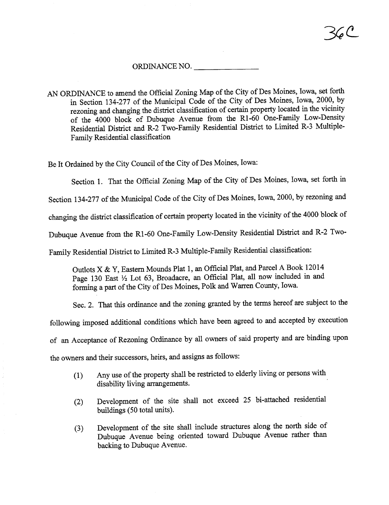## ORDINANCE NO.

AN ORDINANCE to amend the Official Zoning Map of the City of Des Moines, Iowa, set forth in Section 134-277 of the Muncipal Code of the City of Des Moines, Iowa, 2000, by rezoning and changing the district classification of certain property located in the vicinity of the 4000 block of Dubuque Avenue from the RI-60 One-Famly Low-Density Residential District and R-2 Two-Family Residential District to Limited R-3 Multiple-Famly Residential classification

Be It Ordained by the City Council of the City of Des Moines, Iowa:

Section 1. That the Official Zoning Map of the City of Des Moines, Iowa, set forth in

Section 134-277 of the Muncipal Code of the City of Des Moines, Iowa, 2000, by rezoning and

changing the district classification of certain property located in the vicinity of the 4000 block of

Dubuque Avenue from the R1-60 One-Family Low-Density Residential District and R-2 Two-

Family Residential District to Limited R-3 Multiple-Family Residential classification:

Outlots X & Y, Eastern Mounds Plat 1, an Official Plat, and Parcel A Book 12014 Page 130 East  $\frac{1}{2}$  Lot 63, Broadacre, an Official Plat, all now included in and forming a part of the City of Des Moines, Polk and Warren County, Iowa.

Sec. 2. That this ordinance and the zoning granted by the terms hereof are subject to the

following imposed additional conditions which have been agreed to and accepted by execution

of an Acceptance of Rezoning Ordinance by all owners of said property and are binding upon

the owners and their successors, heirs, and assigns as follows:

- $(1)$  Any use of the property shall be restricted to elderly living or persons with disability living arrangements.
- (2) Development of the site shall not exceed 25 bi-attached residential buildings (50 total units).
- (3) Development of the site shall include structures along the north side of Dubuque Avenue being oriented toward Dubuque Avenue rather than backing to Dubuque Avenue.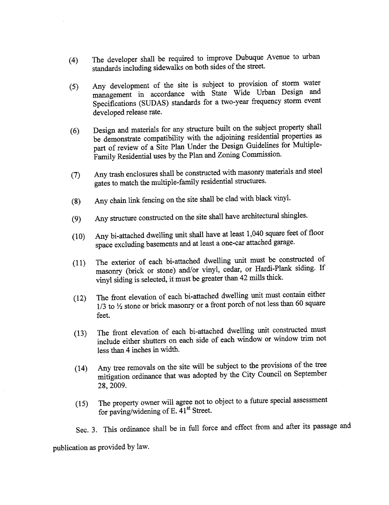- (4) The developer shall be required to more  $\frac{1}{2}$  in the street standards including sidewalks on both sides of the street.
- $(5)$  Any development of the site is subject to provision of storm water management in accordance with State Wide Urban Design and Specifications (SUDAS) stadards for a two-year frequency storm event developed release rate.
- be demonstrate compatibility with the adjoining residential properties as part of review of a Site Plan Under the Design Guidelines for Multiple-Family Residential uses by the Plan and Zoning Commission.
- $(7)$  Any trash enclosures shall be constructed with materials and steel with materials and steel and steel and steel and steel and steel and steel and steel and steel and steel and steel and steel and steel and steel and gates to match the multiple-family residential structures.
- (8) Any chain link fencing on the site shall be clad with black vinyl.
- (9) Any structure constructed on the site shall have architectural shingles.
- $\frac{1}{2}$  space excluding basements and at least a one-car attached garage. Any bi-attached dwelling unit shall have at least 1,040 square feet of floor
- (11) The exterior of each bi-attached dwelling unt must be constructed of  $(11)$ masonry (brick or stone) and/or vinyl, cedar, or Hardi-Plank siding. If vinyl siding is selected, it must be greater than 42 mills thick.
- $(12)$  The front elevation of each bi-attached dwelling unt must contain either  $(12)$  $1/3$  to  $\frac{1}{2}$  stone or brick masonry or a front porch of not less than 60 square feet.
- (13) The front elevation of each bi-attached dwelling unt constructed must<br>index trim not include either shutters on each side of each window or window trim not less than 4 inches in width.
- $\frac{1}{2}$  and  $\frac{1}{2}$  arrives of the will be subject to the city Council on September Any tree removals on the site will be subject to the provisions of the tree 28,2009.
- (15) The property owner will agree not to object to a future special assessment for paving/widening of E.  $\tilde{4}1^{\text{st}}$  Street.

Sec. 3. This ordinance shall be in full force and effect from and after its passage and publication as provided by law.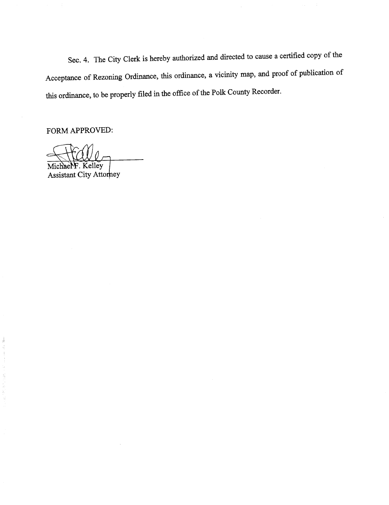Sec. 4. The City Clerk is hereby authorized and directed to cause a certified copy of the Acceptance of Rezoning Ordinance, this ordinance, a vicinity map, and proof of publication of this ordinance, to be properly filed in the office of the Polk County Recorder.

FORM APPROVED:

chaeNF. Kelley Mi

Assistant City Attorney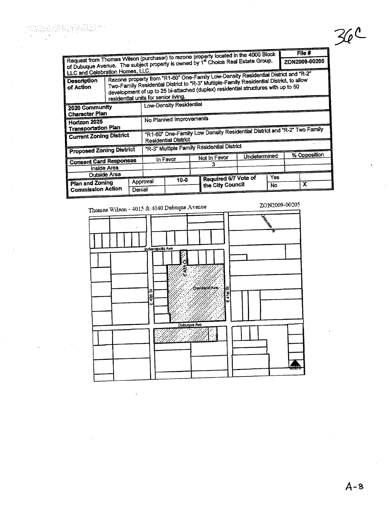| File $#$                                   |                                                                                                                                                                                                                                                                    |        |                                                                          |                                                                                                                                                                          |  |                      |              |           |               |   |  |  |
|--------------------------------------------|--------------------------------------------------------------------------------------------------------------------------------------------------------------------------------------------------------------------------------------------------------------------|--------|--------------------------------------------------------------------------|--------------------------------------------------------------------------------------------------------------------------------------------------------------------------|--|----------------------|--------------|-----------|---------------|---|--|--|
|                                            |                                                                                                                                                                                                                                                                    |        |                                                                          | Request from Thomas Wilson (purchaser) to rezone property located in the 4000 Block<br>of Dubuque Avenue. The subject property is owned by 1st Choice Real Estate Group, |  |                      |              |           | ZON2009-00205 |   |  |  |
| LLC and Celebration Homes, LLC.            |                                                                                                                                                                                                                                                                    |        |                                                                          |                                                                                                                                                                          |  |                      |              |           |               |   |  |  |
| <b>Description</b><br>of Action            | Rezone property from "R1-60" One-Family Low-Density Residential District and "R-2"<br>Two-Family Residential District to "R-3" Multiple-Family Residential District, to allow<br>development of up to 25 bi-attached (duplex) residential structures with up to 50 |        |                                                                          |                                                                                                                                                                          |  |                      |              |           |               |   |  |  |
| residential units for senior living.       |                                                                                                                                                                                                                                                                    |        |                                                                          |                                                                                                                                                                          |  |                      |              |           |               |   |  |  |
| 2020 Community<br>Character Plan           |                                                                                                                                                                                                                                                                    |        | Low-Density Residential                                                  |                                                                                                                                                                          |  |                      |              |           |               |   |  |  |
|                                            |                                                                                                                                                                                                                                                                    |        |                                                                          |                                                                                                                                                                          |  |                      |              |           |               |   |  |  |
| Horizon 2025<br><b>Transportation Plan</b> |                                                                                                                                                                                                                                                                    |        | No Planned Improvements                                                  |                                                                                                                                                                          |  |                      |              |           |               |   |  |  |
|                                            |                                                                                                                                                                                                                                                                    |        |                                                                          |                                                                                                                                                                          |  |                      |              |           |               |   |  |  |
| <b>Current Zoning District</b>             |                                                                                                                                                                                                                                                                    |        | "R1-60" One-Family Low Density Residential District and "R-2" Two Family |                                                                                                                                                                          |  |                      |              |           |               |   |  |  |
|                                            |                                                                                                                                                                                                                                                                    |        | Residential District                                                     |                                                                                                                                                                          |  |                      |              |           |               |   |  |  |
|                                            |                                                                                                                                                                                                                                                                    |        | "R-3" Multiple Family Residential District                               |                                                                                                                                                                          |  |                      |              |           |               |   |  |  |
| <b>Proposed Zoning District</b>            |                                                                                                                                                                                                                                                                    |        |                                                                          |                                                                                                                                                                          |  |                      | Undetermined |           | % Opposition  |   |  |  |
| <b>Consent Card Responses</b>              |                                                                                                                                                                                                                                                                    |        |                                                                          | in Favor                                                                                                                                                                 |  | Not in Favor         |              |           |               |   |  |  |
| Inside Area                                |                                                                                                                                                                                                                                                                    |        |                                                                          |                                                                                                                                                                          |  | 3                    |              |           |               |   |  |  |
| Outside Area                               |                                                                                                                                                                                                                                                                    |        |                                                                          |                                                                                                                                                                          |  |                      |              |           |               |   |  |  |
| Plan and Zoning                            |                                                                                                                                                                                                                                                                    |        | Approval                                                                 | $10 - 0$                                                                                                                                                                 |  | Required 6/7 Vote of |              | Yes       |               |   |  |  |
|                                            |                                                                                                                                                                                                                                                                    | Denial |                                                                          |                                                                                                                                                                          |  | the City Council     |              | <b>No</b> |               | х |  |  |
| <b>Commission Action</b>                   |                                                                                                                                                                                                                                                                    |        |                                                                          |                                                                                                                                                                          |  |                      |              |           |               |   |  |  |

a (n. 1852)<br>1933 - Alexandria Barcelona, francuski filozof, frantziar<br>1933 - Alexandria Barcelona, frantziar frantziar (h. 1

 $\ddot{\cdot}$ 

ZON2009-00205 Thomas Wilson - 4015 & 4040 Dubuque Avenue Chicago ndianapolis Ave **Ogygraphysie**  $41.8$ 锅 ģ ù Dubuque Ave  $\mathbb{R}^2$ 

 $36c$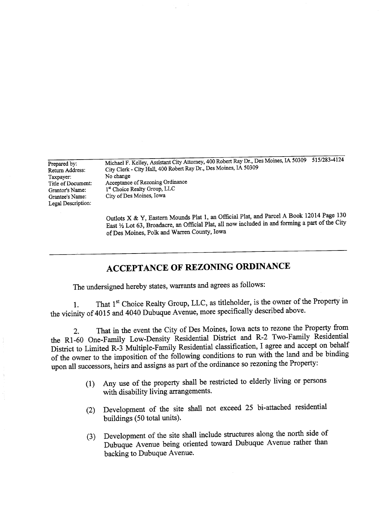Prepared by: Return Address: Taxpayer: Title of Document: Grantor's Name: Grantee's Name: Legal Description:

Michael F. Kelley, Assistant City Attorney, 400 Robert Ray Dr., Des Moines, IA 50309 515/283-4124 City Clerk - City HalL, 400 Robert Ray Dr., Des Moines, IA 50309 No change Acceptance of Rezoning Ordinance 1st Choice Realty Group, LLC City of Des Moines, Iowa

Outlots X & Y, Eastern Mounds Plat 1, an Official Plat, and Parcel A Book 12014 Page 130 East  $\frac{1}{2}$  Lot 63, Broadacre, an Official Plat, all now included in and forming a part of the City of Des Moines, Polk and Waren County, Iowa

## ACCEPTANCE OF REZONING ORDINANCE

The undersigned hereby states, warants and agrees as follows:

1. That 1  $C_{\text{HOL}}$  Realty Group,  $2\pi$   $\sigma$ , That 1<sup>st</sup> Choice Realty Group, LLC, as titleholder, is the owner of the Property in the vicinity of  $4015$  and  $4040$  Dubuque Avenue, more specifically described above.

2. That in the event the City of Des Moines, Iowa acts to region the Property from the RI-60 One-Famly Low-Density Residential Distrct and R-2 Two-Famly Residential District to Limited R-3 Multiple-Family Residential classification, I agree and accept on behalf of the owner to the imposition of the following conditions to run with the land and be binding upon all successors, heirs and assigns as part of the ordinance so rezoning the Property:

- (1) Any use of the property shall be restricted to elderly living or persons with disability living arangements.
- (2) Development of the site shall not exceed 25 bi-attached residential buildings (50 total units).
- (3) Development of the site shall include structures along the north side of  $(3)$ Dubuque Avenue being oriented toward Dubuque Avenue rather than backing to Dubuque Avenue.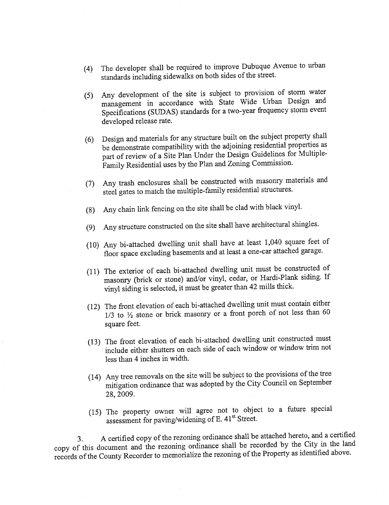- (4) The developer shall be required to improve Dubuque Avenue to urban standards including sidewalks on both sides of the street.
- (5) Any development of the site is subject to provision of storm water management in accordance with State Wide Urban Design and Specifications (SUDAS) standards for a two-year frequency storm event developed release rate.
- (6) Design and materials for any structure built on the subject property shall be demonstrate compatibility with the adjoining residential properties as part of review of a Site Plan Under the Design Guidelines for Multiple-Family Residential uses by the Plan and Zoning Commission.
- (7) Any trash enclosures shall be constructed with masonry materials and steel gates to match the multiple-family residential structues.
- (8) Any chain link fencing on the site shall be clad with black vinyL.
- (9) Any structure constructed on the site shall have architectural shingles.
- (10) Any bi-attached dwelling unit shall have at least 1,040 square feet of floor space excluding basements and at least a one-car attached garage.
- (11) The exterior of each bi-attached dwelling unit must be constructed of masonry (brick or stone) and/or vinyl, cedar, or Hardi-Plank siding. If vinyl siding is selected, it must be greater than 42 mils thick.
- (12) The front elevation of each bi-attached dwelling unit must contain either  $1/3$  to  $\frac{1}{2}$  stone or brick masonry or a front porch of not less than 60 square feet.
- (13) The front elevation of each bi-attached dwellng unt constructed must include either shutters on each side of each window or window trim not less than 4 inches in width.
- (14) Any tree removals on the site will be subject to the provisions of the tree mitigation ordinance that was adopted by the City Council on September 28,2009.
- (15) The property owner wil agree not to object to a future special assessment for paving/widening of E. 41st Street.

3. A certified copy of the rezoning ordinance shall be attached hereto, and a certified copy of this document and the rezoning ordinance shall be recorded by the City in the land records of the County Recorder to memorialize the rezoning of the Property as identified above.